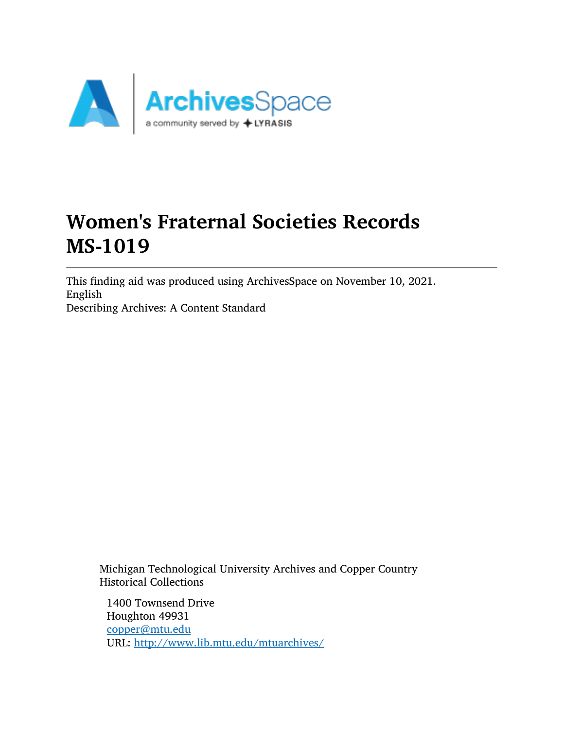

# Women's Fraternal Societies Records MS-1019

This finding aid was produced using ArchivesSpace on November 10, 2021. English Describing Archives: A Content Standard

Michigan Technological University Archives and Copper Country Historical Collections

1400 Townsend Drive Houghton 49931 [copper@mtu.edu](mailto:copper@mtu.edu) URL: <http://www.lib.mtu.edu/mtuarchives/>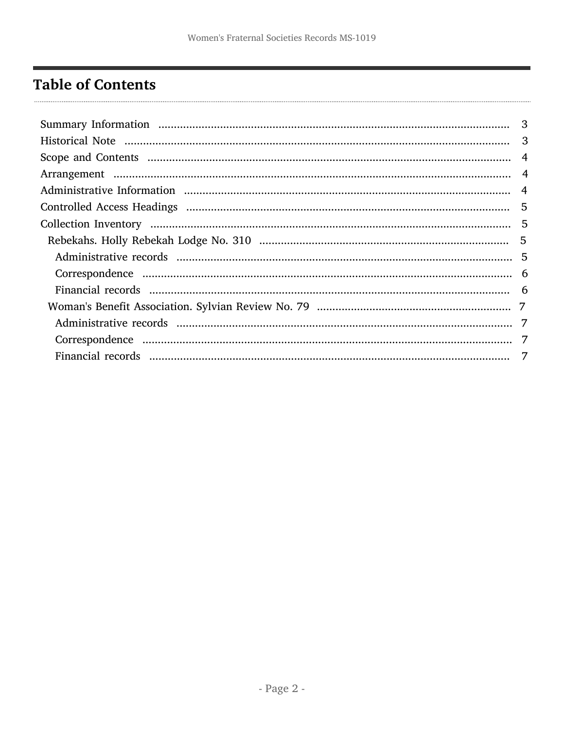# <span id="page-1-0"></span>**Table of Contents**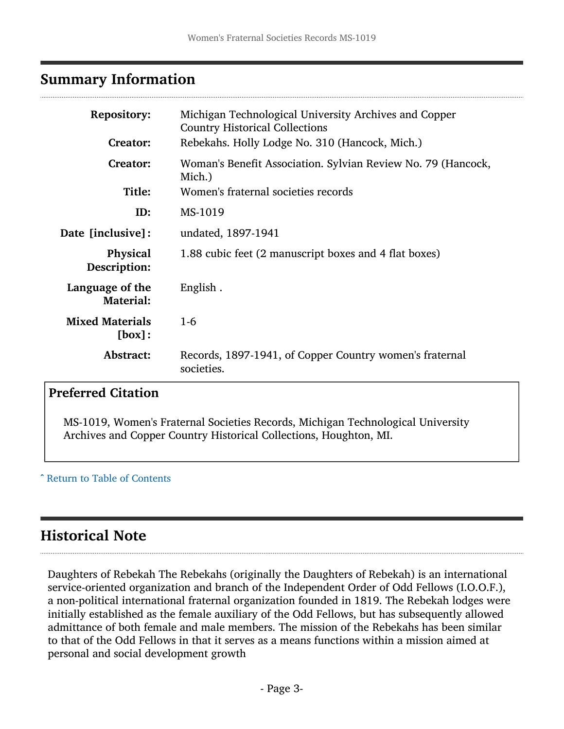### <span id="page-2-0"></span>Summary Information

| <b>Repository:</b><br><b>Creator:</b> | Michigan Technological University Archives and Copper<br><b>Country Historical Collections</b><br>Rebekahs. Holly Lodge No. 310 (Hancock, Mich.) |  |  |
|---------------------------------------|--------------------------------------------------------------------------------------------------------------------------------------------------|--|--|
| <b>Creator:</b>                       | Woman's Benefit Association. Sylvian Review No. 79 (Hancock,<br>Mich.)                                                                           |  |  |
| Title:                                | Women's fraternal societies records                                                                                                              |  |  |
| ID:                                   | MS-1019                                                                                                                                          |  |  |
| Date [inclusive]:                     | undated, 1897-1941                                                                                                                               |  |  |
| Physical<br>Description:              | 1.88 cubic feet (2 manuscript boxes and 4 flat boxes)                                                                                            |  |  |
| Language of the<br><b>Material:</b>   | English.                                                                                                                                         |  |  |
| <b>Mixed Materials</b><br>[box]:      | $1-6$                                                                                                                                            |  |  |
| Abstract:                             | Records, 1897-1941, of Copper Country women's fraternal<br>societies.                                                                            |  |  |

#### Preferred Citation

MS-1019, Women's Fraternal Societies Records, Michigan Technological University Archives and Copper Country Historical Collections, Houghton, MI.

^ [Return to Table of Contents](#page-1-0)

# <span id="page-2-1"></span>Historical Note

Daughters of Rebekah The Rebekahs (originally the Daughters of Rebekah) is an international service-oriented organization and branch of the Independent Order of Odd Fellows (I.O.O.F.), a non-political international fraternal organization founded in 1819. The Rebekah lodges were initially established as the female auxiliary of the Odd Fellows, but has subsequently allowed admittance of both female and male members. The mission of the Rebekahs has been similar to that of the Odd Fellows in that it serves as a means functions within a mission aimed at personal and social development growth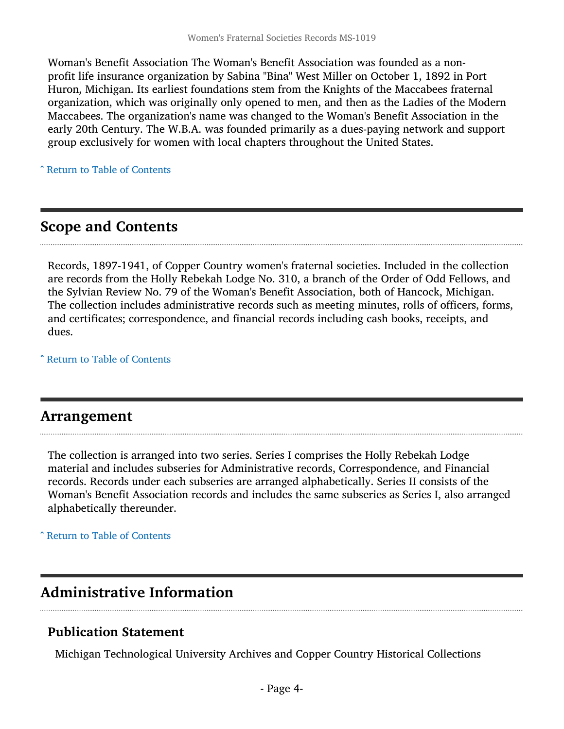Woman's Benefit Association The Woman's Benefit Association was founded as a nonprofit life insurance organization by Sabina "Bina" West Miller on October 1, 1892 in Port Huron, Michigan. Its earliest foundations stem from the Knights of the Maccabees fraternal organization, which was originally only opened to men, and then as the Ladies of the Modern Maccabees. The organization's name was changed to the Woman's Benefit Association in the early 20th Century. The W.B.A. was founded primarily as a dues-paying network and support group exclusively for women with local chapters throughout the United States.

^ [Return to Table of Contents](#page-1-0)

## <span id="page-3-0"></span>Scope and Contents

Records, 1897-1941, of Copper Country women's fraternal societies. Included in the collection are records from the Holly Rebekah Lodge No. 310, a branch of the Order of Odd Fellows, and the Sylvian Review No. 79 of the Woman's Benefit Association, both of Hancock, Michigan. The collection includes administrative records such as meeting minutes, rolls of officers, forms, and certificates; correspondence, and financial records including cash books, receipts, and dues.

^ [Return to Table of Contents](#page-1-0)

#### <span id="page-3-1"></span>Arrangement

The collection is arranged into two series. Series I comprises the Holly Rebekah Lodge material and includes subseries for Administrative records, Correspondence, and Financial records. Records under each subseries are arranged alphabetically. Series II consists of the Woman's Benefit Association records and includes the same subseries as Series I, also arranged alphabetically thereunder.

^ [Return to Table of Contents](#page-1-0)

# <span id="page-3-2"></span>Administrative Information

#### Publication Statement

Michigan Technological University Archives and Copper Country Historical Collections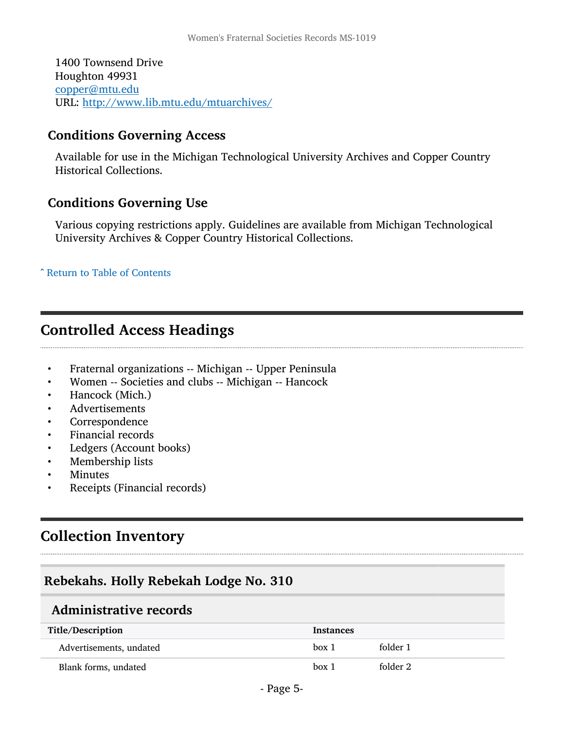1400 Townsend Drive Houghton 49931 [copper@mtu.edu](mailto:copper@mtu.edu) URL: <http://www.lib.mtu.edu/mtuarchives/>

#### Conditions Governing Access

Available for use in the Michigan Technological University Archives and Copper Country Historical Collections.

#### Conditions Governing Use

Various copying restrictions apply. Guidelines are available from Michigan Technological University Archives & Copper Country Historical Collections.

^ [Return to Table of Contents](#page-1-0)

### <span id="page-4-0"></span>Controlled Access Headings

- Fraternal organizations -- Michigan -- Upper Peninsula
- Women -- Societies and clubs -- Michigan -- Hancock
- Hancock (Mich.)
- Advertisements
- **Correspondence**
- Financial records
- Ledgers (Account books)
- Membership lists
- **Minutes**
- Receipts (Financial records)

## <span id="page-4-1"></span>Collection Inventory

#### <span id="page-4-2"></span>Rebekahs. Holly Rebekah Lodge No. 310

#### <span id="page-4-3"></span>Administrative records

| Title/Description       | <b>Instances</b> |          |
|-------------------------|------------------|----------|
| Advertisements, undated | box 1            | folder 1 |
| Blank forms, undated    | box 1            | folder 2 |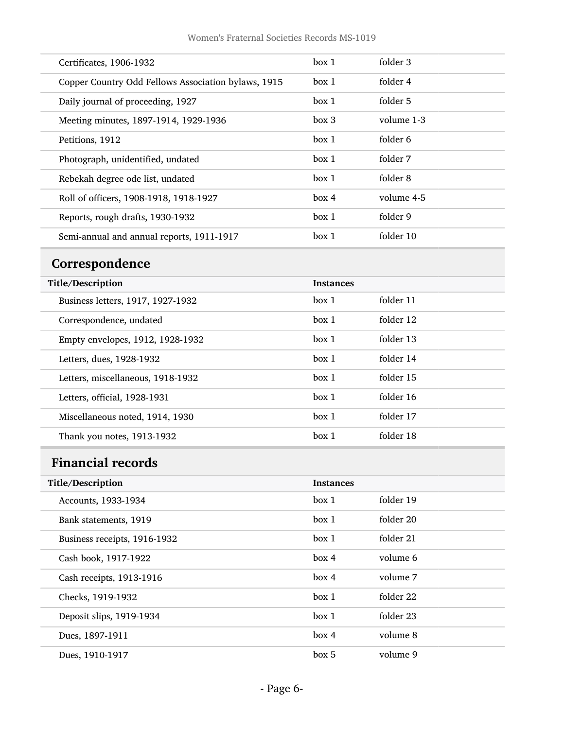| Certificates, 1906-1932                             | box 1 | folder 3   |
|-----------------------------------------------------|-------|------------|
| Copper Country Odd Fellows Association bylaws, 1915 | box 1 | folder 4   |
| Daily journal of proceeding, 1927                   | box 1 | folder 5   |
| Meeting minutes, 1897-1914, 1929-1936               | box 3 | volume 1-3 |
| Petitions, 1912                                     | box 1 | folder 6   |
| Photograph, unidentified, undated                   | box 1 | folder 7   |
| Rebekah degree ode list, undated                    | box 1 | folder 8   |
| Roll of officers, 1908-1918, 1918-1927              | box 4 | volume 4-5 |
| Reports, rough drafts, 1930-1932                    | box 1 | folder 9   |
| Semi-annual and annual reports, 1911-1917           | box 1 | folder 10  |

# <span id="page-5-0"></span>Correspondence

| Title/Description                 | <b>Instances</b> |           |
|-----------------------------------|------------------|-----------|
| Business letters, 1917, 1927-1932 | box 1            | folder 11 |
| Correspondence, undated           | box 1            | folder 12 |
| Empty envelopes, 1912, 1928-1932  | box 1            | folder 13 |
| Letters, dues, 1928-1932          | box 1            | folder 14 |
| Letters, miscellaneous, 1918-1932 | box 1            | folder 15 |
| Letters, official, 1928-1931      | box 1            | folder 16 |
| Miscellaneous noted, 1914, 1930   | box 1            | folder 17 |
| Thank you notes, 1913-1932        | box 1            | folder 18 |

# <span id="page-5-1"></span>Financial records

| Title/Description            | <b>Instances</b> |           |
|------------------------------|------------------|-----------|
| Accounts, 1933-1934          | box 1            | folder 19 |
| Bank statements, 1919        | box 1            | folder 20 |
| Business receipts, 1916-1932 | box 1            | folder 21 |
| Cash book, 1917-1922         | box 4            | volume 6  |
| Cash receipts, 1913-1916     | box 4            | volume 7  |
| Checks, 1919-1932            | box 1            | folder 22 |
| Deposit slips, 1919-1934     | box 1            | folder 23 |
| Dues, 1897-1911              | box 4            | volume 8  |
| Dues, 1910-1917              | box 5            | volume 9  |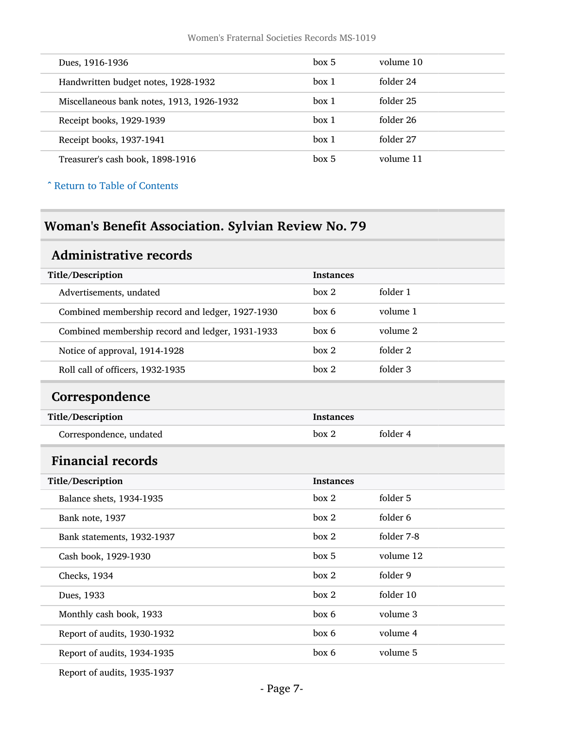| Dues, 1916-1936                           | box 5 | volume 10 |
|-------------------------------------------|-------|-----------|
| Handwritten budget notes, 1928-1932       | box 1 | folder 24 |
| Miscellaneous bank notes, 1913, 1926-1932 | box 1 | folder 25 |
| Receipt books, 1929-1939                  | box 1 | folder 26 |
| Receipt books, 1937-1941                  | box 1 | folder 27 |
| Treasurer's cash book, 1898-1916          | box 5 | volume 11 |

^ [Return to Table of Contents](#page-1-0)

# <span id="page-6-0"></span>Woman's Benefit Association. Sylvian Review No. 79

### <span id="page-6-1"></span>Administrative records

<span id="page-6-3"></span><span id="page-6-2"></span>

| Title/Description                                | <b>Instances</b> |            |
|--------------------------------------------------|------------------|------------|
| Advertisements, undated                          | box 2            | folder 1   |
| Combined membership record and ledger, 1927-1930 | box 6            | volume 1   |
| Combined membership record and ledger, 1931-1933 | box 6            | volume 2   |
| Notice of approval, 1914-1928                    | box 2            | folder 2   |
| Roll call of officers, 1932-1935                 | box 2            | folder 3   |
| Correspondence                                   |                  |            |
| Title/Description<br><b>Instances</b>            |                  |            |
| Correspondence, undated                          | box 2            | folder 4   |
| <b>Financial records</b>                         |                  |            |
| Title/Description                                | <b>Instances</b> |            |
| Balance shets, 1934-1935                         | box 2            | folder 5   |
| Bank note, 1937                                  | box 2            | folder 6   |
| Bank statements, 1932-1937                       | box 2            | folder 7-8 |
| Cash book, 1929-1930                             | box 5            | volume 12  |
| Checks, 1934                                     | box 2            | folder 9   |
| Dues, 1933                                       | box 2            | folder 10  |
| Monthly cash book, 1933                          | box 6            | volume 3   |
| Report of audits, 1930-1932                      | box 6            | volume 4   |
| Report of audits, 1934-1935                      | box 6            | volume 5   |
|                                                  |                  |            |

Report of audits, 1935-1937